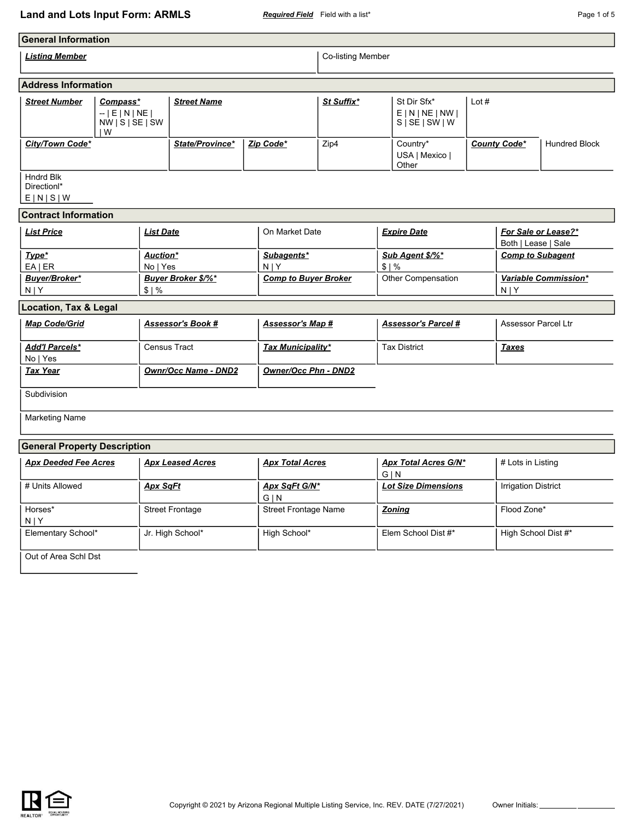| <b>General Information</b>                                                    |                                                                                            |                          |                             |                            |                                                         |                            |                                            |                            |
|-------------------------------------------------------------------------------|--------------------------------------------------------------------------------------------|--------------------------|-----------------------------|----------------------------|---------------------------------------------------------|----------------------------|--------------------------------------------|----------------------------|
| <b>Listing Member</b>                                                         |                                                                                            |                          | Co-listing Member           |                            |                                                         |                            |                                            |                            |
| <b>Address Information</b>                                                    |                                                                                            |                          |                             |                            |                                                         |                            |                                            |                            |
| <b>Street Number</b>                                                          | Compass*<br><b>Street Name</b><br>$-$   E   N   NE  <br>$NW \mid S \mid SE \mid SW$<br>l W |                          |                             | St Suffix*                 | St Dir Sfx*<br>E N NE NW <br>$S \mid SE \mid SW \mid W$ | Lot $#$                    |                                            |                            |
| City/Town Code*                                                               |                                                                                            |                          | Zip Code*                   | Zip4                       | Country*<br>USA   Mexico  <br>Other                     |                            | <b>County Code*</b>                        | <b>Hundred Block</b>       |
| <b>Hndrd Blk</b><br>Direction <sup>*</sup><br>E[N S W                         |                                                                                            |                          |                             |                            |                                                         |                            |                                            |                            |
| <b>Contract Information</b>                                                   |                                                                                            |                          |                             |                            |                                                         |                            |                                            |                            |
| <b>List Price</b><br><b>List Date</b>                                         |                                                                                            |                          | On Market Date              |                            | <b>Expire Date</b>                                      |                            | For Sale or Lease?*<br>Both   Lease   Sale |                            |
| Type*<br>Auction*<br>$EA$   ER<br>No   Yes                                    |                                                                                            |                          | Subagents*<br>N   Y         |                            | Sub Agent \$/%*<br>\$1%                                 |                            | <b>Comp to Subagent</b>                    |                            |
| Buyer/Broker*<br>$N$   Y<br>\$1%                                              |                                                                                            | Buyer Broker \$/%*       | <b>Comp to Buyer Broker</b> |                            | Other Compensation                                      |                            | <b>Variable Commission*</b><br>N   Y       |                            |
| <b>Location, Tax &amp; Legal</b>                                              |                                                                                            |                          |                             |                            |                                                         |                            |                                            |                            |
| Map Code/Grid                                                                 |                                                                                            | <b>Assessor's Book #</b> | Assessor's Map #            |                            | <b>Assessor's Parcel #</b>                              |                            |                                            | <b>Assessor Parcel Ltr</b> |
| Add'l Parcels*<br>No   Yes                                                    |                                                                                            | <b>Census Tract</b>      | <b>Tax Municipality*</b>    |                            | <b>Tax District</b>                                     |                            | <b>Taxes</b>                               |                            |
| <b>Tax Year</b><br><b>Ownr/Occ Name - DND2</b><br><b>Owner/Occ Phn - DND2</b> |                                                                                            |                          |                             |                            |                                                         |                            |                                            |                            |
| Subdivision                                                                   |                                                                                            |                          |                             |                            |                                                         |                            |                                            |                            |
| Marketing Name                                                                |                                                                                            |                          |                             |                            |                                                         |                            |                                            |                            |
| <b>General Property Description</b>                                           |                                                                                            |                          |                             |                            |                                                         |                            |                                            |                            |
| <b>Apx Deeded Fee Acres</b><br><b>Apx Leased Acres</b>                        |                                                                                            |                          | <b>Apx Total Acres</b>      |                            | <b>Apx Total Acres G/N*</b><br>G N                      |                            | # Lots in Listing                          |                            |
| # Units Allowed                                                               | Apx SqFt G/N*<br><b>Apx SqFt</b><br>G   N                                                  |                          |                             | <b>Lot Size Dimensions</b> |                                                         | <b>Irrigation District</b> |                                            |                            |
| Horses*<br>N   Y                                                              |                                                                                            | <b>Street Frontage</b>   | <b>Street Frontage Name</b> |                            | Zoning                                                  |                            | Flood Zone*                                |                            |
| Elementary School*                                                            |                                                                                            | Jr. High School*         | High School*                |                            | Elem School Dist #*                                     |                            | High School Dist #*                        |                            |

Out of Area Schl Dst

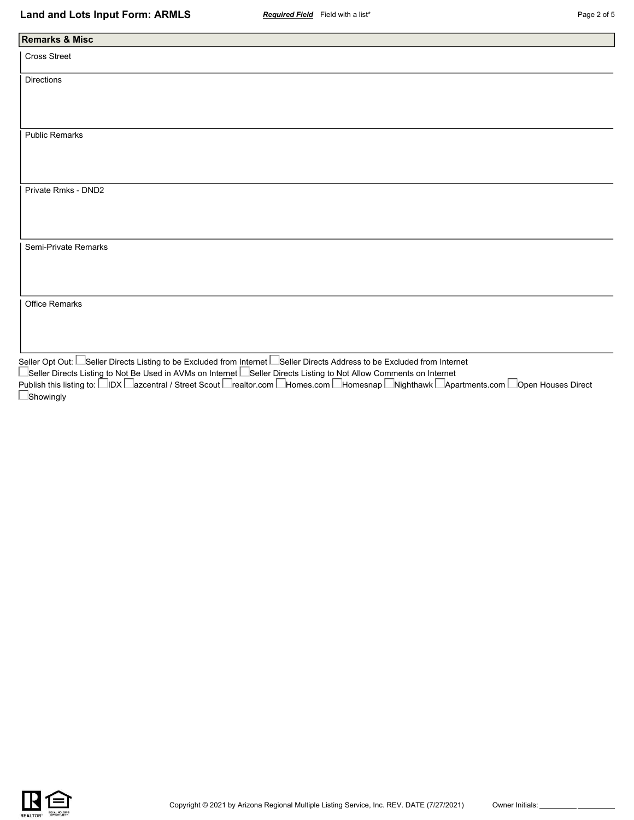| <b>Remarks &amp; Misc</b>                                                                                               |  |  |  |  |
|-------------------------------------------------------------------------------------------------------------------------|--|--|--|--|
| Cross Street                                                                                                            |  |  |  |  |
| Directions                                                                                                              |  |  |  |  |
|                                                                                                                         |  |  |  |  |
|                                                                                                                         |  |  |  |  |
| <b>Public Remarks</b>                                                                                                   |  |  |  |  |
|                                                                                                                         |  |  |  |  |
| Private Rmks - DND2                                                                                                     |  |  |  |  |
|                                                                                                                         |  |  |  |  |
|                                                                                                                         |  |  |  |  |
| Semi-Private Remarks                                                                                                    |  |  |  |  |
|                                                                                                                         |  |  |  |  |
|                                                                                                                         |  |  |  |  |
| Office Remarks                                                                                                          |  |  |  |  |
|                                                                                                                         |  |  |  |  |
| Seller Opt Out: Seller Directs Listing to be Excluded from Internet Seller Directs Address to be Excluded from Internet |  |  |  |  |

Seller Directs Listing to Not Be Used in AVMs on Internet L\_Seller Directs Listing to Not Allow Comments on Internet Publish this listing to: ⊟IDX ⊟azcentral / Street Scout ⊟realtor.com ⊟Homes.com ⊟Homesnap ⊡Nighthawk ⊡Apartments.com ⊟Open Houses Direct **Showingly** 

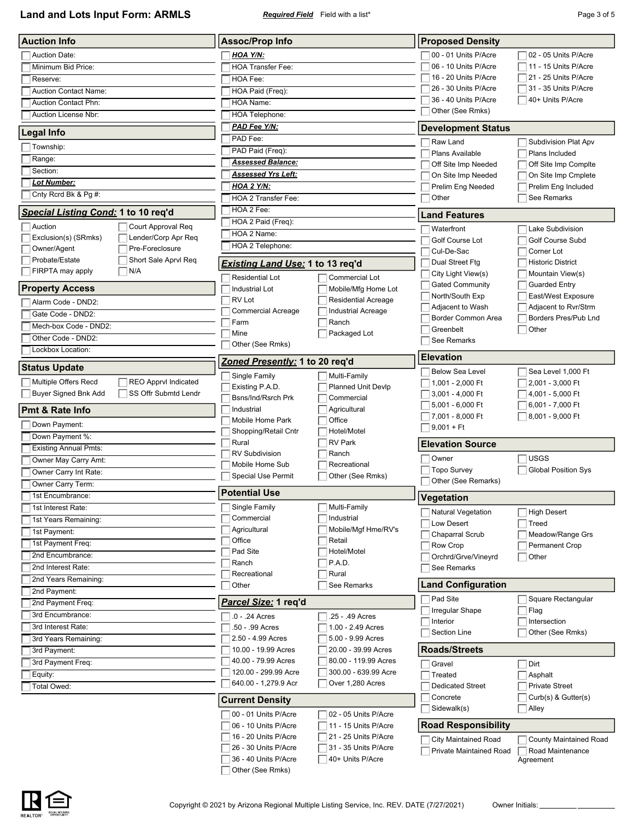**Land and Lots Input Form: ARMLS** *Required Field* Field with a list\* **Page 3 of 5** Page 3 of 5

| <b>Auction Info</b>                          | <b>Assoc/Prop Info</b>                                 | <b>Proposed Density</b>                                                |  |
|----------------------------------------------|--------------------------------------------------------|------------------------------------------------------------------------|--|
| <b>Auction Date:</b>                         | <b>HOA Y/N:</b>                                        | 00 - 01 Units P/Acre<br>02 - 05 Units P/Acre                           |  |
| Minimum Bid Price:                           | <b>HOA Transfer Fee:</b>                               | 06 - 10 Units P/Acre<br>11 - 15 Units P/Acre                           |  |
| Reserve:                                     | HOA Fee:                                               | 16 - 20 Units P/Acre<br>21 - 25 Units P/Acre                           |  |
| <b>Auction Contact Name:</b>                 | HOA Paid (Freq):                                       | 31 - 35 Units P/Acre<br>26 - 30 Units P/Acre                           |  |
| <b>Auction Contact Phn:</b>                  | HOA Name:                                              | 36 - 40 Units P/Acre<br>40+ Units P/Acre                               |  |
| Auction License Nbr:                         | <b>HOA Telephone:</b>                                  | Other (See Rmks)                                                       |  |
|                                              | PAD Fee Y/N:                                           | <b>Development Status</b>                                              |  |
| <b>Legal Info</b>                            | PAD Fee:                                               | Raw Land<br>Subdivision Plat Apv                                       |  |
| Township:                                    | PAD Paid (Freq):                                       | Plans Available<br>Plans Included                                      |  |
| Range:                                       | <b>Assessed Balance:</b>                               | Off Site Imp Needed<br>Off Site Imp Complte                            |  |
| Section:                                     | <b>Assessed Yrs Left:</b>                              | On Site Imp Needed<br>On Site Imp Cmplete                              |  |
| Lot Number:                                  | <b>HOA 2 Y/N:</b>                                      | Prelim Eng Needed<br>Prelim Eng Included                               |  |
| Cnty Rcrd Bk & Pg #:                         | HOA 2 Transfer Fee:                                    | See Remarks<br>Other                                                   |  |
| Special Listing Cond: 1 to 10 req'd          | HOA 2 Fee:                                             | <b>Land Features</b>                                                   |  |
| Auction<br>Court Approval Req                | HOA 2 Paid (Freq):                                     | Waterfront<br>Lake Subdivision                                         |  |
| Exclusion(s) (SRmks)<br>Lender/Corp Apr Req  | HOA 2 Name:                                            | Golf Course Lot<br>Golf Course Subd                                    |  |
| Owner/Agent<br>Pre-Foreclosure               | HOA 2 Telephone:                                       | Cul-De-Sac<br>Corner Lot                                               |  |
| Short Sale Aprvl Req<br>Probate/Estate       | <b>Existing Land Use: 1 to 13 reg'd</b>                | Dual Street Ftg<br><b>Historic District</b>                            |  |
| $\neg$ N/A<br>FIRPTA may apply               | <b>Residential Lot</b><br><b>Commercial Lot</b>        | City Light View(s)<br>Mountain View(s)                                 |  |
| <b>Property Access</b>                       | Industrial Lot<br>Mobile/Mfg Home Lot                  | Gated Community<br>Guarded Entry                                       |  |
| Alarm Code - DND2:                           | RV Lot<br><b>Residential Acreage</b>                   | North/South Exp<br>East/West Exposure                                  |  |
| Gate Code - DND2:                            | <b>Commercial Acreage</b><br><b>Industrial Acreage</b> | Adjacent to Wash<br>Adjacent to Rvr/Strm                               |  |
| Mech-box Code - DND2:                        | Farm<br>Ranch                                          | Border Common Area<br>Borders Pres/Pub Lnd                             |  |
| Other Code - DND2:                           | Mine<br>Packaged Lot                                   | Other<br>Greenbelt                                                     |  |
| Lockbox Location:                            | Other (See Rmks)                                       | See Remarks                                                            |  |
|                                              | Zoned Presently: 1 to 20 req'd                         | <b>Elevation</b>                                                       |  |
| <b>Status Update</b>                         | Single Family<br>Multi-Family                          | <b>Below Sea Level</b><br>Sea Level 1,000 Ft                           |  |
| Multiple Offers Recd<br>REO Apprvl Indicated | Existing P.A.D.<br><b>Planned Unit Devlp</b>           | 1,001 - 2,000 Ft<br>2,001 - 3,000 Ft                                   |  |
| SS Offr Submtd Lendr<br>Buyer Signed Bnk Add | Bsns/Ind/Rsrch Prk<br>Commercial                       | 3,001 - 4,000 Ft<br>4,001 - 5,000 Ft                                   |  |
| <b>Pmt &amp; Rate Info</b>                   | Industrial<br>Agricultural                             | 6,001 - 7,000 Ft<br>5,001 - 6,000 Ft                                   |  |
| Down Payment:                                | Office<br>Mobile Home Park                             | 7,001 - 8,000 Ft<br>8,001 - 9,000 Ft<br>$9,001 + Ft$                   |  |
| Down Payment %:                              | Hotel/Motel<br>Shopping/Retail Cntr                    |                                                                        |  |
| <b>Existing Annual Pmts:</b>                 | Rural<br>RV Park                                       | <b>Elevation Source</b>                                                |  |
| Owner May Carry Amt:                         | <b>RV Subdivision</b><br>Ranch                         | <b>USGS</b><br>Owner                                                   |  |
| Owner Carry Int Rate:                        | Mobile Home Sub<br>Recreational                        | <b>Topo Survey</b><br><b>Global Position Sys</b>                       |  |
| Owner Carry Term:                            | <b>Special Use Permit</b><br>Other (See Rmks)          | Other (See Remarks)                                                    |  |
| 1st Encumbrance:                             | <b>Potential Use</b>                                   | Vegetation                                                             |  |
| 1st Interest Rate:                           | Multi-Family<br>Single Family                          |                                                                        |  |
| 1st Years Remaining:                         | Commercial<br>Industrial                               | <b>High Desert</b><br><b>Natural Vegetation</b><br>Low Desert<br>Treed |  |
| 1st Payment:                                 | Agricultural<br>Mobile/Mgf Hme/RV's                    | Meadow/Range Grs<br>Chaparral Scrub                                    |  |
| 1st Payment Freq:                            | Office<br>Retail                                       | Row Crop<br>Permanent Crop                                             |  |
| 2nd Encumbrance:                             | Pad Site<br>Hotel/Motel                                | Orchrd/Grve/Vineyrd<br>Other                                           |  |
| 2nd Interest Rate:                           | Ranch<br>P.A.D.                                        | See Remarks                                                            |  |
| 2nd Years Remaining:                         | Rural<br>Recreational                                  |                                                                        |  |
| 2nd Payment:                                 | See Remarks<br>Other                                   | <b>Land Configuration</b>                                              |  |
| 2nd Payment Freq:                            | Parcel Size: 1 req'd                                   | Pad Site<br>Square Rectangular                                         |  |
| 3rd Encumbrance:                             | $\Box$ .0 - .24 Acres<br>.25 - .49 Acres               | Irregular Shape<br>Flag                                                |  |
| 3rd Interest Rate:                           | .50 - .99 Acres<br>1.00 - 2.49 Acres                   | Interior<br>Intersection                                               |  |
| 3rd Years Remaining:                         | 2.50 - 4.99 Acres<br>5.00 - 9.99 Acres                 | Section Line<br>Other (See Rmks)                                       |  |
| 3rd Payment:                                 | 10.00 - 19.99 Acres<br>20.00 - 39.99 Acres             | <b>Roads/Streets</b>                                                   |  |
| 3rd Payment Freq:                            | 40.00 - 79.99 Acres<br>80.00 - 119.99 Acres            | Gravel<br>Dirt                                                         |  |
| Equity:                                      | 120.00 - 299.99 Acre<br>300.00 - 639.99 Acre           | Treated<br>Asphalt                                                     |  |
| Total Owed:                                  | 640.00 - 1,279.9 Acr<br>Over 1,280 Acres               | <b>Private Street</b><br><b>Dedicated Street</b>                       |  |
|                                              | <b>Current Density</b>                                 | Concrete<br>Curb(s) & Gutter(s)                                        |  |
|                                              | 00 - 01 Units P/Acre<br>02 - 05 Units P/Acre           | Sidewalk(s)<br>Alley                                                   |  |
|                                              | 06 - 10 Units P/Acre<br>11 - 15 Units P/Acre           | <b>Road Responsibility</b>                                             |  |
|                                              | 16 - 20 Units P/Acre<br>21 - 25 Units P/Acre           | <b>City Maintained Road</b><br><b>County Maintained Road</b>           |  |
|                                              | 26 - 30 Units P/Acre<br>31 - 35 Units P/Acre           | Private Maintained Road<br>Road Maintenance                            |  |
|                                              | 36 - 40 Units P/Acre<br>40+ Units P/Acre               | Agreement                                                              |  |



Other (See Rmks)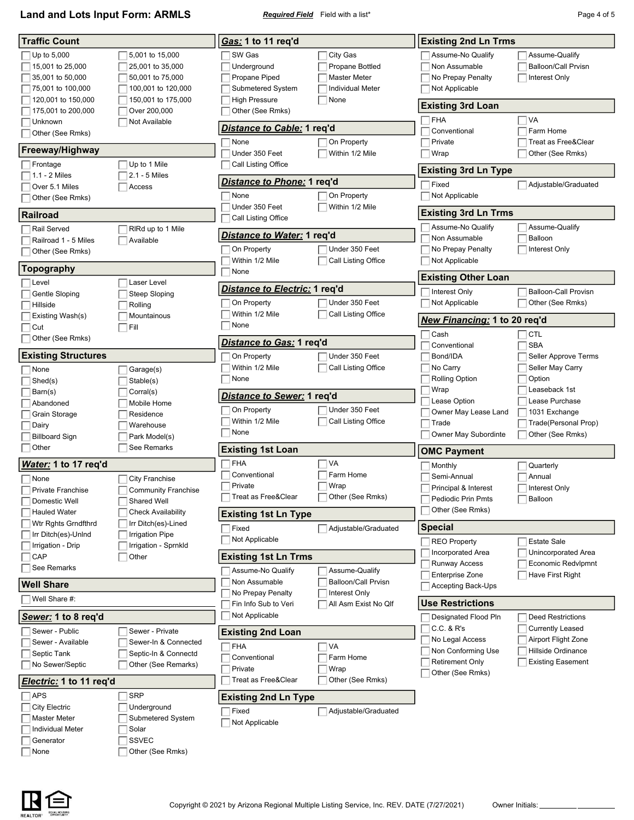**Land and Lots Input Form: ARMLS** *Required Field* Field with a list\* **Page 4 of 5** Page 4 of 5

| <b>Traffic Count</b>                   |                           | Gas: 1 to 11 req'd                        |                                       | <b>Existing 2nd Ln Trms</b>         |                             |
|----------------------------------------|---------------------------|-------------------------------------------|---------------------------------------|-------------------------------------|-----------------------------|
|                                        |                           |                                           |                                       |                                     |                             |
| Up to 5,000                            | 5,001 to 15,000           | SW Gas                                    | City Gas                              | Assume-No Qualify                   | Assume-Qualify              |
| 15,001 to 25,000                       | 25,001 to 35,000          | Underground                               | Propane Bottled                       | Non Assumable                       | <b>Balloon/Call Prvisn</b>  |
| 35,001 to 50,000                       | 50,001 to 75,000          | Propane Piped                             | <b>Master Meter</b>                   | No Prepay Penalty<br>Not Applicable | Interest Only               |
| 75,001 to 100,000                      | 100,001 to 120,000        | Submetered System                         | <b>Individual Meter</b>               |                                     |                             |
| 120,001 to 150,000                     | 150,001 to 175,000        | <b>High Pressure</b>                      | None                                  | <b>Existing 3rd Loan</b>            |                             |
| 175,001 to 200,000                     | Over 200,000              | Other (See Rmks)                          |                                       | FHA                                 | ⊺VA                         |
| Unknown                                | Not Available             | Distance to Cable: 1 req'd                |                                       | Conventional                        | Farm Home                   |
| Other (See Rmks)                       |                           | None                                      | On Property                           | Private                             | Treat as Free&Clear         |
| Freeway/Highway                        |                           | Under 350 Feet                            | Within 1/2 Mile                       | Wrap                                | Other (See Rmks)            |
| Frontage                               | $\Box$ Up to 1 Mile       | Call Listing Office                       |                                       |                                     |                             |
| 1.1 - 2 Miles                          | 2.1 - 5 Miles             |                                           |                                       | <b>Existing 3rd Ln Type</b>         |                             |
| Over 5.1 Miles                         | Access                    | <b>Distance to Phone: 1 req'd</b>         |                                       | Fixed                               | Adjustable/Graduated        |
| Other (See Rmks)                       |                           | None                                      | On Property                           | Not Applicable                      |                             |
| <b>Railroad</b>                        |                           | Under 350 Feet<br>Call Listing Office     | Within 1/2 Mile                       | <b>Existing 3rd Ln Trms</b>         |                             |
| Rail Served                            | RIRd up to 1 Mile         |                                           |                                       | Assume-No Qualify                   | Assume-Qualify              |
| Railroad 1 - 5 Miles                   | Available                 | Distance to Water: 1 reg'd                |                                       | Non Assumable                       | Balloon                     |
| Other (See Rmks)                       |                           | On Property                               | Under 350 Feet                        | No Prepay Penalty                   | Interest Only               |
|                                        |                           | Within 1/2 Mile                           | Call Listing Office                   | Not Applicable                      |                             |
| Topography                             |                           | None                                      |                                       |                                     |                             |
| Level                                  | Laser Level               |                                           |                                       | <b>Existing Other Loan</b>          |                             |
| Gentle Sloping                         | <b>Steep Sloping</b>      | <b>Distance to Electric: 1 req'd</b>      |                                       | <b>Interest Only</b>                | <b>Balloon-Call Provisn</b> |
| Hillside                               | Rolling                   | On Property                               | Under 350 Feet                        | Not Applicable                      | Other (See Rmks)            |
| Existing Wash(s)                       | Mountainous               | Within 1/2 Mile                           | Call Listing Office                   | New Financing: 1 to 20 req'd        |                             |
| Cut                                    | $\sqcap$ Fill             | None                                      |                                       |                                     |                             |
| Other (See Rmks)                       |                           | Distance to Gas: 1 reg'd                  |                                       | Cash<br>Conventional                | ⊺CTL<br><b>SBA</b>          |
| <b>Existing Structures</b>             |                           | On Property                               | Under 350 Feet                        | Bond/IDA                            | Seller Approve Terms        |
|                                        |                           | Within 1/2 Mile                           | Call Listing Office                   | No Carry                            | Seller May Carry            |
| None                                   | Garage(s)                 | None                                      |                                       | <b>Rolling Option</b>               | Option                      |
| Shed(s)                                | Stable(s)                 |                                           |                                       | Wrap                                | Leaseback 1st               |
| Barn(s)<br>Abandoned                   | Corral(s)<br>Mobile Home  | <b>Distance to Sewer: 1 reg'd</b>         |                                       | Lease Option                        | Lease Purchase              |
| <b>Grain Storage</b>                   | Residence                 | On Property                               | Under 350 Feet                        | Owner May Lease Land                | 1031 Exchange               |
| Dairy                                  | Warehouse                 | Within 1/2 Mile                           | Call Listing Office                   | Trade                               | Trade(Personal Prop)        |
| <b>Billboard Sign</b>                  | Park Model(s)             | None                                      |                                       | Owner May Subordinte                | Other (See Rmks)            |
| Other                                  | See Remarks               |                                           |                                       |                                     |                             |
|                                        |                           | <b>Existing 1st Loan</b>                  |                                       | <b>OMC Payment</b>                  |                             |
| <i>Water:</i> 1 to 17 req'd            |                           | <b>FHA</b>                                | <b>VA</b>                             | Monthly                             | Quarterly                   |
| None                                   | City Franchise            | Conventional                              | Farm Home                             | Semi-Annual                         | Annual                      |
| Private Franchise                      | Community Franchise       | Private                                   | Wrap                                  | Principal & Interest                | $\Box$ Interest Only        |
| Domestic Well                          | Shared Well               | Treat as Free&Clear                       | Other (See Rmks)                      | Pediodic Prin Pmts                  | Balloon                     |
| <b>Hauled Water</b>                    | <b>Check Availability</b> | <b>Existing 1st Ln Type</b>               |                                       | Other (See Rmks)                    |                             |
| Wtr Rghts Grndfthrd                    | Irr Ditch(es)-Lined       | Fixed                                     | Adjustable/Graduated                  | <b>Special</b>                      |                             |
| Irr Ditch(es)-Unlnd                    | Irrigation Pipe           | Not Applicable                            |                                       | <b>REO Property</b>                 | <b>Estate Sale</b>          |
| Irrigation - Drip                      | Irrigation - Sprnkld      |                                           |                                       | <b>Incorporated Area</b>            | Unincorporated Area         |
| CAP                                    | Other                     | <b>Existing 1st Ln Trms</b>               |                                       | <b>Runway Access</b>                | <b>Economic Redvlpmnt</b>   |
| See Remarks                            |                           | Assume-No Qualify                         | Assume-Qualify                        | <b>Enterprise Zone</b>              | Have First Right            |
| <b>Well Share</b>                      |                           | Non Assumable                             | <b>Balloon/Call Prvisn</b>            | Accepting Back-Ups                  |                             |
| Well Share #:                          |                           | No Prepay Penalty<br>Fin Info Sub to Veri | Interest Only<br>All Asm Exist No Qlf | <b>Use Restrictions</b>             |                             |
| Sewer: 1 to 8 req'd                    |                           | Not Applicable                            |                                       | Designated Flood Pln                | <b>Deed Restrictions</b>    |
| Sewer - Public                         | Sewer - Private           | <b>Existing 2nd Loan</b>                  |                                       | $C.C.$ & $R's$                      | <b>Currently Leased</b>     |
| Sewer - Available                      | Sewer-In & Connected      |                                           |                                       | No Legal Access                     | Airport Flight Zone         |
| Septic Tank                            | Septic-In & Connectd      | <b>FHA</b>                                | VA                                    | Non Conforming Use                  | Hillside Ordinance          |
| No Sewer/Septic                        | Other (See Remarks)       | Conventional                              | Farm Home                             | <b>Retirement Only</b>              | <b>Existing Easement</b>    |
|                                        |                           | Private<br>Treat as Free&Clear            | Wrap<br>Other (See Rmks)              | Other (See Rmks)                    |                             |
| <u> <i>Electric:</i></u> 1 to 11 req'd |                           |                                           |                                       |                                     |                             |
| APS                                    | $ $ SRP                   | <b>Existing 2nd Ln Type</b>               |                                       |                                     |                             |
| <b>City Electric</b>                   | Underground               | Fixed                                     | Adjustable/Graduated                  |                                     |                             |
| <b>Master Meter</b>                    | Submetered System         | Not Applicable                            |                                       |                                     |                             |
| <b>Individual Meter</b>                | Solar                     |                                           |                                       |                                     |                             |
|                                        | <b>SSVEC</b>              |                                           |                                       |                                     |                             |
| Generator<br>None                      | Other (See Rmks)          |                                           |                                       |                                     |                             |

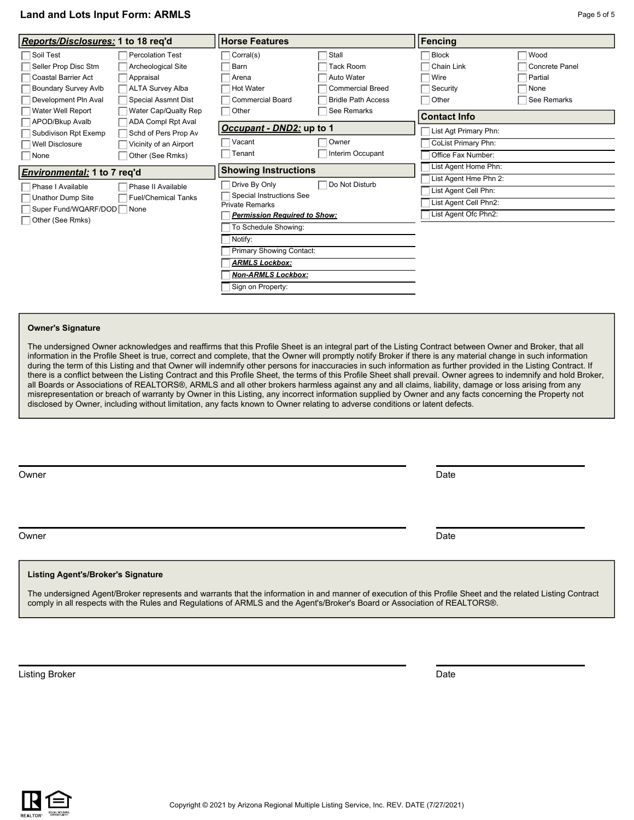| Reports/Disclosures: 1 to 18 reg'd                                                                                                                                                                                              |                                            | <b>Horse Features</b>                                                                                                       |                                                                                                 | <b>Fencing</b>                                                         |                                                          |
|---------------------------------------------------------------------------------------------------------------------------------------------------------------------------------------------------------------------------------|--------------------------------------------|-----------------------------------------------------------------------------------------------------------------------------|-------------------------------------------------------------------------------------------------|------------------------------------------------------------------------|----------------------------------------------------------|
| Soil Test<br><b>Percolation Test</b><br>Seller Prop Disc Stm<br>Archeological Site<br>Coastal Barrier Act<br>Appraisal<br><b>Boundary Survey Avlb</b><br><b>ALTA Survey Alba</b><br>Development Pln Aval<br>Special Assmnt Dist |                                            | Corral(s)<br>Barn<br>Arena<br>Hot Water<br><b>Commercial Board</b>                                                          | Stall<br><b>Tack Room</b><br>Auto Water<br><b>Commercial Breed</b><br><b>Bridle Path Access</b> | <b>Block</b><br>Chain Link<br>Wire<br>Security<br>Other                | Wood<br>Concrete Panel<br>Partial<br>None<br>See Remarks |
| Water Well Report<br>APOD/Bkup Avalb                                                                                                                                                                                            | Water Cap/Qualty Rep<br>ADA Compl Rpt Aval | Other<br>See Remarks<br>Occupant - DND2: up to 1                                                                            |                                                                                                 | <b>Contact Info</b><br>List Agt Primary Phn:                           |                                                          |
| Subdivison Rpt Exemp<br>Schd of Pers Prop Av<br>Well Disclosure<br>Vicinity of an Airport<br>Other (See Rmks)<br>$\Box$ None                                                                                                    |                                            | Vacant<br>Tenant                                                                                                            | Owner<br>Interim Occupant                                                                       | CoList Primary Phn:<br>Office Fax Number:                              |                                                          |
| <b>Environmental: 1 to 7 reg'd</b>                                                                                                                                                                                              |                                            | <b>Showing Instructions</b>                                                                                                 |                                                                                                 | List Agent Home Phn:                                                   |                                                          |
| Phase I Available<br>Phase II Available<br>Unathor Dump Site<br><b>Fuel/Chemical Tanks</b><br>Super Fund/WQARF/DOD None<br>Other (See Rmks)                                                                                     |                                            | Do Not Disturb<br>Drive By Only<br>Special Instructions See<br><b>Private Remarks</b>                                       |                                                                                                 | List Agent Hme Phn 2:<br>List Agent Cell Phn:<br>List Agent Cell Phn2: |                                                          |
|                                                                                                                                                                                                                                 |                                            | <b>Permission Required to Show:</b><br>To Schedule Showing:<br>Notify:<br>Primary Showing Contact:<br><b>ARMLS Lockbox:</b> |                                                                                                 | List Agent Ofc Phn2:                                                   |                                                          |
|                                                                                                                                                                                                                                 |                                            | <b>Non-ARMLS Lockbox:</b>                                                                                                   |                                                                                                 |                                                                        |                                                          |

## **Owner's Signature**

The undersigned Owner acknowledges and reaffirms that this Profile Sheet is an integral part of the Listing Contract between Owner and Broker, that all information in the Profile Sheet is true, correct and complete, that the Owner will promptly notify Broker if there is any material change in such information during the term of this Listing and that Owner will indemnify other persons for inaccuracies in such information as further provided in the Listing Contract. If there is a conflict between the Listing Contract and this Profile Sheet, the terms of this Profile Sheet shall prevail. Owner agrees to indemnify and hold Broker, all Boards or Associations of REALTORS®, ARMLS and all other brokers harmless against any and all claims, liability, damage or loss arising from any misrepresentation or breach of warranty by Owner in this Listing, any incorrect information supplied by Owner and any facts concerning the Property not disclosed by Owner, including without limitation, any facts known to Owner relating to adverse conditions or latent defects.

Sign on Property:

Owner **Date** 

Owner **Date** 

## **Listing Agent's/Broker's Signature**

The undersigned Agent/Broker represents and warrants that the information in and manner of execution of this Profile Sheet and the related Listing Contract comply in all respects with the Rules and Regulations of ARMLS and the Agent's/Broker's Board or Association of REALTORS®.

Listing Broker Date Communication of the Communication of the Communication of the Date Date Date Date Date